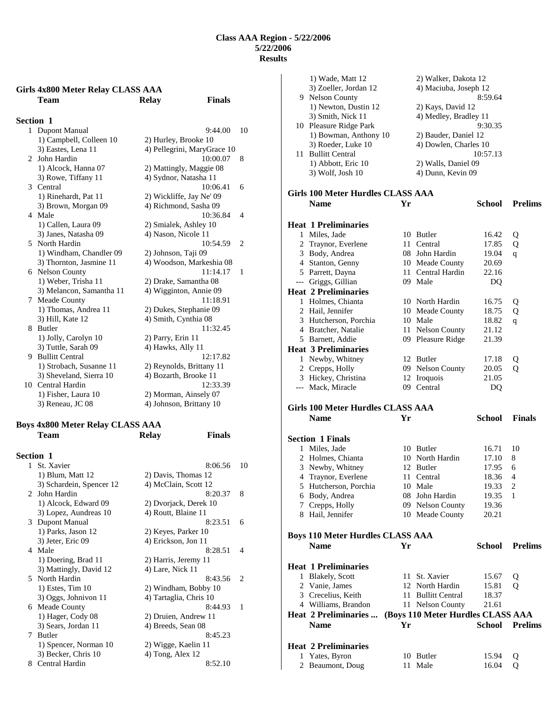# **Girls 4x800 Meter Relay CLASS AAA**

|                  | Team                     | <b>Relay</b>             | <b>Finals</b>               |                |
|------------------|--------------------------|--------------------------|-----------------------------|----------------|
| <b>Section 1</b> |                          |                          |                             |                |
| $\mathbf{1}$     | Dupont Manual            |                          | 9:44.00                     | 10             |
|                  | 1) Campbell, Colleen 10  | 2) Hurley, Brooke 10     |                             |                |
|                  | 3) Eastes, Lena 11       |                          | 4) Pellegrini, MaryGrace 10 |                |
| $2^{\circ}$      | John Hardin              |                          | 10:00.07                    | 8              |
|                  | 1) Alcock, Hanna 07      | 2) Mattingly, Maggie 08  |                             |                |
|                  | 3) Rowe, Tiffany 11      | 4) Sydnor, Natasha 11    |                             |                |
| 3                | Central                  |                          | 10:06.41                    | 6              |
|                  | 1) Rinehardt, Pat 11     | 2) Wickliffe, Jay Ne' 09 |                             |                |
|                  | 3) Brown, Morgan 09      | 4) Richmond, Sasha 09    |                             |                |
|                  | 4 Male                   |                          | 10:36.84                    | 4              |
|                  | 1) Callen, Laura 09      | 2) Smialek, Ashley 10    |                             |                |
|                  | 3) Janes, Natasha 09     | 4) Nason, Nicole 11      |                             |                |
|                  | 5 North Hardin           |                          | 10:54.59                    | $\overline{2}$ |
|                  | 1) Windham, Chandler 09  | 2) Johnson, Taji 09      |                             |                |
|                  | 3) Thornton, Jasmine 11  |                          | 4) Woodson, Markeshia 08    |                |
|                  | 6 Nelson County          |                          | 11:14.17                    | 1              |
|                  | 1) Weber, Trisha 11      | 2) Drake, Samantha 08    |                             |                |
|                  | 3) Melancon, Samantha 11 | 4) Wigginton, Annie 09   |                             |                |
|                  | 7 Meade County           |                          | 11:18.91                    |                |
|                  | 1) Thomas, Andrea 11     | 2) Dukes, Stephanie 09   |                             |                |
|                  | 3) Hill, Kate 12         | 4) Smith, Cynthia 08     |                             |                |
| 8                | Butler                   |                          | 11:32.45                    |                |
|                  | 1) Jolly, Carolyn 10     | 2) Parry, Erin 11        |                             |                |
|                  | 3) Tuttle, Sarah 09      | 4) Hawks, Ally 11        |                             |                |
|                  | 9 Bullitt Central        |                          | 12:17.82                    |                |
|                  | 1) Strobach, Susanne 11  | 2) Reynolds, Brittany 11 |                             |                |
|                  | 3) Sheveland, Sierra 10  | 4) Bozarth, Brooke 11    |                             |                |
| 10               | Central Hardin           |                          | 12:33.39                    |                |
|                  | 1) Fisher, Laura 10      | 2) Morman, Ainsely 07    |                             |                |
|                  | 3) Reneau, JC 08         | 4) Johnson, Brittany 10  |                             |                |

## **Boys 4x800 Meter Relay CLASS AAA Team Relay Finals**

| <b>Section 1</b> |                          |                        |                             |
|------------------|--------------------------|------------------------|-----------------------------|
| $\mathbf{1}$     | St. Xavier               | 8:06.56                | 10                          |
|                  | 1) Blum, Matt 12         | 2) Davis, Thomas 12    |                             |
|                  | 3) Schardein, Spencer 12 | 4) McClain, Scott 12   |                             |
|                  | 2 John Hardin            | 8:20.37                | 8                           |
|                  | 1) Alcock, Edward 09     | 2) Dvorjack, Derek 10  |                             |
|                  | 3) Lopez, Aundreas 10    | 4) Routt, Blaine 11    |                             |
|                  | 3 Dupont Manual          | 8:23.51                | 6                           |
|                  | 1) Parks, Jason 12       | 2) Keyes, Parker 10    |                             |
|                  | 3) Jeter, Eric 09        | 4) Erickson, Jon 11    |                             |
|                  | 4 Male                   | 8:28.51                | 4                           |
|                  | 1) Doering, Brad 11      | 2) Harris, Jeremy 11   |                             |
|                  | 3) Mattingly, David 12   | 4) Lare, Nick 11       |                             |
|                  | 5 North Hardin           | 8:43.56                | $\mathcal{D}_{\mathcal{L}}$ |
|                  | $1)$ Estes, Tim $10$     | 2) Windham, Bobby 10   |                             |
|                  | 3) Oggs, Johnivon 11     | 4) Tartaglia, Chris 10 |                             |
|                  | 6 Meade County           | 8:44.93                | 1                           |
|                  | 1) Hager, Cody 08        | 2) Druien, Andrew 11   |                             |
|                  | 3) Sears, Jordan 11      | 4) Breeds, Sean 08     |                             |
|                  | 7 Butler                 | 8:45.23                |                             |
|                  | 1) Spencer, Norman 10    | 2) Wigge, Kaelin 11    |                             |
|                  | 3) Becker, Chris 10      | $(4)$ Tong, Alex 12    |                             |
| 8                | Central Hardin           | 8:52.10                |                             |

|   | 1) Wade, Matt 12                             |    | 2) Walker, Dakota 12              |               |                |
|---|----------------------------------------------|----|-----------------------------------|---------------|----------------|
|   | 3) Zoeller, Jordan 12                        |    | 4) Maciuba, Joseph 12             |               |                |
|   | 9 Nelson County                              |    |                                   | 8:59.64       |                |
|   | 1) Newton, Dustin 12                         |    | 2) Kays, David 12                 |               |                |
|   | 3) Smith, Nick 11                            |    | 4) Medley, Bradley 11             |               |                |
|   | 10 Pleasure Ridge Park                       |    |                                   | 9:30.35       |                |
|   | 1) Bowman, Anthony 10                        |    | 2) Bauder, Daniel 12              |               |                |
|   | 3) Roeder, Luke 10                           |    | 4) Dowlen, Charles 10             |               |                |
|   | 11 Bullitt Central                           |    |                                   | 10:57.13      |                |
|   | 1) Abbott, Eric 10                           |    | 2) Walls, Daniel 09               |               |                |
|   | 3) Wolf, Josh 10                             |    | 4) Dunn, Kevin 09                 |               |                |
|   | Girls 100 Meter Hurdles CLASS AAA            |    |                                   |               |                |
|   | Name                                         | Yr |                                   | School        | <b>Prelims</b> |
|   |                                              |    |                                   |               |                |
|   | <b>Heat 1 Preliminaries</b>                  |    |                                   |               |                |
|   | 1 Miles, Jade                                |    | 10 Butler                         | 16.42         | Q              |
|   | 2 Traynor, Everlene                          |    | 11 Central                        | 17.85         | Q              |
|   | 3 Body, Andrea                               |    | 08 John Hardin                    | 19.04         | q              |
|   | 4 Stanton, Genny                             |    | 10 Meade County                   | 20.69         |                |
|   | 5 Parrett, Dayna                             |    | 11 Central Hardin                 | 22.16         |                |
|   | --- Griggs, Gillian                          |    | 09 Male                           | DQ            |                |
|   | <b>Heat 2 Preliminaries</b>                  |    |                                   |               |                |
|   | 1 Holmes, Chianta                            |    | 10 North Hardin                   | 16.75         | Q              |
|   | 2 Hail, Jennifer                             |    | 10 Meade County                   | 18.75         | Q              |
|   | 3 Hutcherson, Porchia                        |    | 10 Male                           | 18.82         | q              |
|   | 4 Bratcher, Natalie                          |    | 11 Nelson County                  | 21.12         |                |
|   | 5 Barnett, Addie                             |    | 09 Pleasure Ridge                 | 21.39         |                |
|   | <b>Heat 3 Preliminaries</b>                  |    |                                   |               |                |
|   | 1 Newby, Whitney                             |    | 12 Butler                         | 17.18         | Q              |
|   | 2 Crepps, Holly                              |    | 09 Nelson County                  | 20.05         | Q              |
|   | 3 Hickey, Christina                          |    | 12 Iroquois                       | 21.05         |                |
|   | --- Mack, Miracle                            |    | 09 Central                        | DQ            |                |
|   | Girls 100 Meter Hurdles CLASS AAA            |    |                                   |               |                |
|   | <b>Name</b>                                  | Yr |                                   | School        | <b>Finals</b>  |
|   |                                              |    |                                   |               |                |
|   | <b>Section 1 Finals</b>                      |    |                                   |               |                |
|   | 1 Miles, Jade                                |    | 10 Butler                         | 16.71         | 10             |
|   | 2 Holmes, Chianta                            |    | 10 North Hardin                   | 17.10         | 8              |
|   | 3 Newby, Whitney                             |    | 12 Butler                         | 17.95         | 6              |
|   |                                              |    | 11 Central                        | 18.36         | 4              |
|   | 4 Traynor, Everlene<br>5 Hutcherson, Porchia |    | 10 Male                           | 19.33         | 2              |
|   | 6 Body, Andrea                               |    | 08 John Hardin                    | 19.35         | 1              |
| 7 | Crepps, Holly                                |    | 09 Nelson County                  | 19.36         |                |
|   | 8 Hail, Jennifer                             |    | 10 Meade County                   | 20.21         |                |
|   |                                              |    |                                   |               |                |
|   | <b>Boys 110 Meter Hurdles CLASS AAA</b>      |    |                                   |               |                |
|   | <b>Name</b>                                  | Yr |                                   | <b>School</b> | <b>Prelims</b> |
|   | <b>Heat 1 Preliminaries</b>                  |    |                                   |               |                |
|   | 1 Blakely, Scott                             |    | 11 St. Xavier                     | 15.67         | Q              |
|   | 2 Vanie, James                               |    | 12 North Hardin                   | 15.81         | Q              |
|   | 3 Crecelius, Keith                           |    | 11 Bullitt Central                | 18.37         |                |
|   | 4 Williams, Brandon                          |    | 11 Nelson County                  | 21.61         |                |
|   | <b>Heat 2 Preliminaries </b>                 |    | (Boys 110 Meter Hurdles CLASS AAA |               |                |
|   | <b>Name</b>                                  | Yr |                                   | <b>School</b> | <b>Prelims</b> |
|   |                                              |    |                                   |               |                |
|   |                                              |    |                                   |               |                |
|   | <b>Heat 2 Preliminaries</b>                  |    |                                   |               |                |
|   | 1 Yates, Byron                               |    | 10 Butler                         | 15.94         | Q              |
|   | 2 Beaumont, Doug                             |    | 11 Male                           | 16.04         | Q              |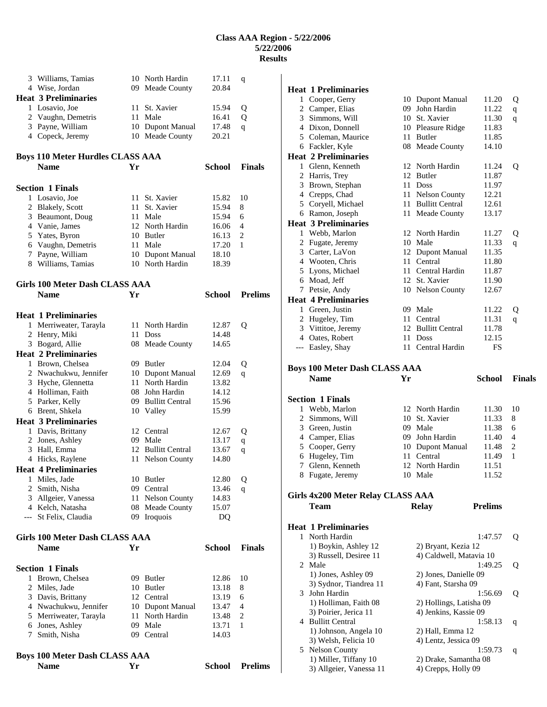|   | 3 Williams, Tamias                      |      | 10 North Hardin      | 17.11         | q              |
|---|-----------------------------------------|------|----------------------|---------------|----------------|
|   |                                         |      |                      |               |                |
|   | 4 Wise, Jordan                          |      | 09 Meade County      | 20.84         |                |
|   | <b>Heat 3 Preliminaries</b>             |      |                      |               |                |
|   | 1 Losavio, Joe                          | 11 - | St. Xavier           | 15.94         | Q              |
|   | 2 Vaughn, Demetris                      | 11   | Male                 | 16.41         |                |
|   |                                         |      |                      |               | Q              |
|   | 3 Payne, William                        |      | 10 Dupont Manual     | 17.48         | q              |
|   | 4 Copeck, Jeremy                        |      | 10 Meade County      | 20.21         |                |
|   |                                         |      |                      |               |                |
|   | <b>Boys 110 Meter Hurdles CLASS AAA</b> |      |                      |               |                |
|   | <b>Name</b>                             |      |                      |               | <b>Finals</b>  |
|   |                                         | Yr   |                      | <b>School</b> |                |
|   |                                         |      |                      |               |                |
|   | <b>Section 1 Finals</b>                 |      |                      |               |                |
|   | 1 Losavio, Joe                          |      | 11 St. Xavier        | 15.82         | 10             |
|   | 2 Blakely, Scott                        | 11.  | St. Xavier           | 15.94         | 8              |
|   |                                         |      |                      |               |                |
|   | 3 Beaumont, Doug                        |      | 11 Male              | 15.94         | 6              |
|   | 4 Vanie, James                          |      | 12 North Hardin      | 16.06         | 4              |
|   | 5 Yates, Byron                          |      | 10 Butler            | 16.13         | $\overline{c}$ |
|   | 6 Vaughn, Demetris                      |      | 11 Male              | 17.20         | 1              |
|   | 7 Payne, William                        |      | 10 Dupont Manual     | 18.10         |                |
|   | 8 Williams, Tamias                      |      | 10 North Hardin      | 18.39         |                |
|   |                                         |      |                      |               |                |
|   |                                         |      |                      |               |                |
|   | Girls 100 Meter Dash CLASS AAA          |      |                      |               |                |
|   | <b>Name</b>                             | Yr   |                      | <b>School</b> | <b>Prelims</b> |
|   |                                         |      |                      |               |                |
|   | <b>Heat 1 Preliminaries</b>             |      |                      |               |                |
|   |                                         |      | 11 North Hardin      |               |                |
|   | 1 Merriweater, Tarayla                  |      |                      | 12.87         | Q              |
|   | 2 Henry, Miki                           |      | 11 Doss              | 14.48         |                |
|   | 3 Bogard, Allie                         |      | 08 Meade County      | 14.65         |                |
|   | <b>Heat 2 Preliminaries</b>             |      |                      |               |                |
|   | 1 Brown, Chelsea                        |      | 09 Butler            | 12.04         | Q              |
|   | 2 Nwachukwu, Jennifer                   |      |                      |               |                |
|   |                                         |      | 10 Dupont Manual     | 12.69         | q              |
|   | 3 Hyche, Glennetta                      | 11-  | North Hardin         | 13.82         |                |
|   | 4 Holliman, Faith                       | 08   | John Hardin          | 14.12         |                |
|   | 5 Parker, Kelly                         |      | 09 Bullitt Central   | 15.96         |                |
|   | 6 Brent, Shkela                         |      | 10 Valley            | 15.99         |                |
|   | <b>Heat 3 Preliminaries</b>             |      |                      |               |                |
|   |                                         |      |                      |               |                |
|   | 1 Davis, Brittany                       |      | 12 Central           | 12.67         | Q              |
|   | 2 Jones, Ashley                         |      | 09 Male              | 13.17         | q              |
|   | 3 Hall, Emma                            |      | 12 Bullitt Central   | 13.67         | q              |
|   | 4 Hicks, Raylene                        |      | 11 Nelson County     | 14.80         |                |
|   | <b>Heat 4 Preliminaries</b>             |      |                      |               |                |
|   |                                         |      |                      |               |                |
|   | 1 Miles, Jade                           |      | 10 Butler            | 12.80         | Q              |
|   | 2 Smith, Nisha                          |      | 09 Central           | 13.46         | q              |
|   | 3 Allgeier, Vanessa                     | 11 - | <b>Nelson County</b> | 14.83         |                |
|   | 4 Kelch, Natasha                        |      | 08 Meade County      | 15.07         |                |
|   | --- St Felix, Claudia                   |      | 09 Iroquois          | DQ            |                |
|   |                                         |      |                      |               |                |
|   | Girls 100 Meter Dash CLASS AAA          |      |                      |               |                |
|   |                                         |      |                      |               |                |
|   | Name                                    | Yr   |                      | <b>School</b> | <b>Finals</b>  |
|   |                                         |      |                      |               |                |
|   | <b>Section 1 Finals</b>                 |      |                      |               |                |
| 1 | Brown, Chelsea                          |      | 09 Butler            | 12.86         | 10             |
|   | 2 Miles, Jade                           |      | 10 Butler            | 13.18         | 8              |
|   |                                         |      | 12 Central           | 13.19         | 6              |
|   | 3 Davis, Brittany                       |      |                      |               |                |
|   | 4 Nwachukwu, Jennifer                   |      | 10 Dupont Manual     | 13.47         | 4              |
|   | 5 Merriweater, Tarayla                  | 11   | North Hardin         | 13.48         | 2              |
|   | 6 Jones, Ashley                         | 09.  | Male                 | 13.71         | 1              |
| 7 | Smith, Nisha                            |      | 09 Central           | 14.03         |                |
|   |                                         |      |                      |               |                |
|   | <b>Boys 100 Meter Dash CLASS AAA</b>    |      |                      |               |                |
|   | <b>Name</b>                             | Yr   |                      | <b>School</b> | <b>Prelims</b> |
|   |                                         |      |                      |               |                |

|   | <b>Heat 1 Preliminaries</b>                    |    |                                |                |               |
|---|------------------------------------------------|----|--------------------------------|----------------|---------------|
|   | 1 Cooper, Gerry                                |    | 10 Dupont Manual               | 11.20          | Q             |
|   | 2 Camper, Elias                                |    | 09 John Hardin                 | 11.22          | q             |
|   | 3 Simmons, Will                                |    | 10 St. Xavier                  | 11.30          | q             |
|   | 4 Dixon, Donnell                               |    | 10 Pleasure Ridge              | 11.83          |               |
|   | 5 Coleman, Maurice                             |    | 11 Butler                      | 11.85          |               |
|   | 6 Fackler, Kyle                                |    | 08 Meade County                | 14.10          |               |
|   | <b>Heat 2 Preliminaries</b>                    |    |                                |                |               |
|   | 1 Glenn, Kenneth                               |    | 12 North Hardin                | 11.24          | Q             |
|   | 2 Harris, Trey                                 |    | 12 Butler                      | 11.87          |               |
|   | 3 Brown, Stephan                               |    | 11 Doss                        | 11.97          |               |
|   | 4 Crepps, Chad                                 |    | 11 Nelson County               | 12.21          |               |
|   | 5 Coryell, Michael                             |    | 11 Bullitt Central             | 12.61          |               |
|   | 6 Ramon, Joseph                                |    | 11 Meade County                | 13.17          |               |
|   | <b>Heat 3 Preliminaries</b>                    |    |                                |                |               |
|   | 1 Webb, Marlon                                 |    | 12 North Hardin                | 11.27          | Q             |
|   | 2 Fugate, Jeremy                               |    | 10 Male                        | 11.33          | q             |
|   | 3 Carter, LaVon                                |    | 12 Dupont Manual               | 11.35          |               |
|   | 4 Wooten, Chris                                |    | 11 Central                     | 11.80          |               |
|   | 5 Lyons, Michael                               |    | 11 Central Hardin              | 11.87          |               |
|   | 6 Moad, Jeff                                   |    | 12 St. Xavier                  | 11.90          |               |
|   | 7 Petsie, Andy                                 |    | 10 Nelson County               | 12.67          |               |
|   | <b>Heat 4 Preliminaries</b><br>1 Green, Justin |    | 09 Male                        |                |               |
|   |                                                |    | 11 Central                     | 11.22<br>11.31 | Q             |
|   | 2 Hugeley, Tim                                 |    | 12 Bullitt Central             |                | q             |
|   | 3 Vittitoe, Jeremy<br>4 Oates, Robert          | 11 | <b>Doss</b>                    | 11.78<br>12.15 |               |
|   | --- Easley, Shay                               |    | 11 Central Hardin              | FS             |               |
|   |                                                |    |                                |                |               |
|   | <b>Boys 100 Meter Dash CLASS AAA</b>           |    |                                |                |               |
|   | <b>Name</b>                                    | Yr |                                | <b>School</b>  | <b>Finals</b> |
|   |                                                |    |                                |                |               |
|   |                                                |    |                                |                |               |
|   |                                                |    |                                |                |               |
|   | <b>Section 1 Finals</b>                        |    |                                |                |               |
|   | 1 Webb, Marlon                                 |    | 12 North Hardin                | 11.30          | 10<br>8       |
|   | 2 Simmons, Will                                |    | 10 St. Xavier<br>09 Male       | 11.33<br>11.38 | 6             |
|   | 3 Green, Justin                                |    |                                | 11.40          | 4             |
|   | 4 Camper, Elias<br>5 Cooper, Gerry             |    | 09 John Hardin                 | 11.48          | 2             |
|   | 6 Hugeley, Tim                                 |    | 10 Dupont Manual<br>11 Central | 11.49          | 1             |
|   | 7 Glenn, Kenneth                               |    | 12 North Hardin                | 11.51          |               |
| 8 | Fugate, Jeremy                                 |    | 10 Male                        | 11.52          |               |
|   |                                                |    |                                |                |               |
|   | Girls 4x200 Meter Relay CLASS AAA              |    |                                |                |               |
|   | Team                                           |    | <b>Relay</b>                   | <b>Prelims</b> |               |
|   |                                                |    |                                |                |               |
|   | <b>Heat 1 Preliminaries</b>                    |    |                                |                |               |
|   | 1 North Hardin                                 |    |                                | 1:47.57        | Q             |
|   | 1) Boykin, Ashley 12                           |    | 2) Bryant, Kezia 12            |                |               |
|   | 3) Russell, Desiree 11                         |    | 4) Caldwell, Matavia 10        |                |               |
|   | 2 Male                                         |    |                                | 1:49.25        | Q             |
|   | 1) Jones, Ashley 09                            |    | 2) Jones, Danielle 09          |                |               |
|   | 3) Sydnor, Tiandrea 11                         |    | 4) Fant, Starsha 09            |                |               |
|   | 3 John Hardin                                  |    |                                | 1:56.69        | Q             |
|   | 1) Holliman, Faith 08                          |    | 2) Hollings, Latisha 09        |                |               |
|   | 3) Poirier, Jerica 11                          |    | 4) Jenkins, Kassie 09          |                |               |
|   | 4 Bullitt Central                              |    |                                | 1:58.13        | q             |
|   | 1) Johnson, Angela 10                          |    | 2) Hall, Emma 12               |                |               |
|   | 3) Welsh, Felicia 10                           |    | 4) Lentz, Jessica 09           |                |               |
|   | 5 Nelson County<br>1) Miller, Tiffany 10       |    | 2) Drake, Samantha 08          | 1:59.73        | q             |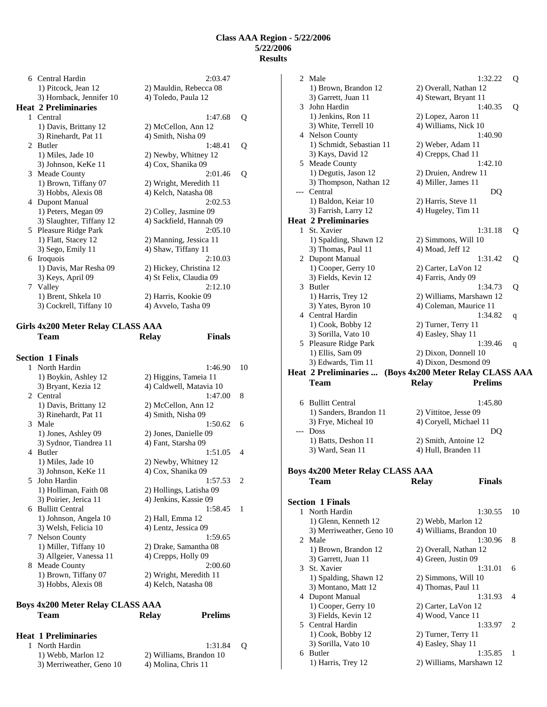| 6                           | Central Hardin              | 2:03.47                 |   |
|-----------------------------|-----------------------------|-------------------------|---|
|                             | 1) Pitcock, Jean 12         | 2) Mauldin, Rebecca 08  |   |
|                             | 3) Hornback, Jennifer 10    | 4) Toledo, Paula 12     |   |
|                             | <b>Heat 2 Preliminaries</b> |                         |   |
|                             | 1 Central                   | 1:47.68                 | Q |
|                             | 1) Davis, Brittany 12       | 2) McCellon, Ann 12     |   |
|                             | 3) Rinehardt, Pat 11        | 4) Smith, Nisha 09      |   |
| $\mathcal{D}_{\mathcal{L}}$ | <b>Butler</b>               | 1:48.41                 | Q |
|                             | 1) Miles, Jade 10           | 2) Newby, Whitney 12    |   |
|                             | 3) Johnson, KeKe 11         | 4) Cox, Shanika 09      |   |
| 3                           | Meade County                | 2:01.46                 | Q |
|                             | 1) Brown, Tiffany 07        | 2) Wright, Meredith 11  |   |
|                             | 3) Hobbs, Alexis 08         | 4) Kelch, Natasha 08    |   |
| 4                           | Dupont Manual               | 2:02.53                 |   |
|                             | 1) Peters, Megan 09         | 2) Colley, Jasmine 09   |   |
|                             | 3) Slaughter, Tiffany 12    | 4) Sackfield, Hannah 09 |   |
|                             | 5 Pleasure Ridge Park       | 2:05.10                 |   |
|                             | 1) Flatt, Stacey 12         | 2) Manning, Jessica 11  |   |
|                             | 3) Sego, Emily 11           | 4) Shaw, Tiffany 11     |   |
| 6                           | <b>Iroquois</b>             | 2:10.03                 |   |
|                             | 1) Davis, Mar Resha 09      | 2) Hickey, Christina 12 |   |
|                             | 3) Keys, April 09           | 4) St Felix, Claudia 09 |   |
|                             | 7 Valley                    | 2:12.10                 |   |
|                             | 1) Brent, Shkela 10         | 2) Harris, Kookie 09    |   |
|                             | 3) Cockrell, Tiffany 10     | 4) Avvelo, Tasha 09     |   |

## **Girls 4x200 Meter Relay CLASS AAA Team Relay Finals**

|                | 1 North Hardin          | 1:46.90                 | 10                            |
|----------------|-------------------------|-------------------------|-------------------------------|
|                | 1) Boykin, Ashley 12    | 2) Higgins, Tameia 11   |                               |
|                | 3) Bryant, Kezia 12     | 4) Caldwell, Matavia 10 |                               |
|                | 2 Central               | 1:47.00                 | 8                             |
|                | 1) Davis, Brittany 12   | 2) McCellon, Ann 12     |                               |
|                | 3) Rinehardt, Pat 11    | 4) Smith, Nisha 09      |                               |
| 3              | Male                    | 1:50.62                 | 6                             |
|                | 1) Jones, Ashley 09     | 2) Jones, Danielle 09   |                               |
|                | 3) Sydnor, Tiandrea 11  | 4) Fant, Starsha 09     |                               |
| $\overline{4}$ | <b>Butler</b>           | 1:51.05                 | $\overline{\mathcal{A}}$      |
|                | 1) Miles, Jade 10       | 2) Newby, Whitney 12    |                               |
|                | 3) Johnson, KeKe 11     | 4) Cox, Shanika 09      |                               |
|                | 5 John Hardin           | 1:57.53                 | $\mathfrak{D}_{\mathfrak{p}}$ |
|                | 1) Holliman, Faith 08   | 2) Hollings, Latisha 09 |                               |
|                | 3) Poirier, Jerica 11   | 4) Jenkins, Kassie 09   |                               |
| 6.             | <b>Bullitt Central</b>  | 1:58.45                 | 1                             |
|                | 1) Johnson, Angela 10   | 2) Hall, Emma 12        |                               |
|                | 3) Welsh, Felicia 10    | 4) Lentz, Jessica 09    |                               |
| 7              | <b>Nelson County</b>    | 1:59.65                 |                               |
|                | 1) Miller, Tiffany 10   | 2) Drake, Samantha 08   |                               |
|                | 3) Allgeier, Vanessa 11 | 4) Crepps, Holly 09     |                               |
| 8              | Meade County            | 2:00.60                 |                               |
|                | 1) Brown, Tiffany 07    | 2) Wright, Meredith 11  |                               |
|                | 3) Hobbs, Alexis 08     | 4) Kelch, Natasha 08    |                               |

## **Boys 4x200 Meter Relay CLASS AAA Team Relay Prelims**

## **Heat 1 Preliminaries**

| North Hardin             |   |
|--------------------------|---|
| 1) Webb, Marlon 12       |   |
| 3) Merriweather, Geno 10 | 4 |

 $1:31.84$  Q 2) Williams, Brandon 10 4) Molina, Chris 11

|              | <b>Section 1 Finals</b>                         |                                   |                          |   |
|--------------|-------------------------------------------------|-----------------------------------|--------------------------|---|
|              | <b>Boys 4x200 Meter Relay CLASS AAA</b><br>Team | <b>Relay</b>                      | <b>Finals</b>            |   |
|              | 3) Ward, Sean 11                                | 4) Hull, Branden 11               |                          |   |
|              | 1) Batts, Deshon 11                             | 2) Smith, Antoine 12              |                          |   |
|              | --- Doss                                        |                                   | DO                       |   |
|              | 3) Frye, Micheal 10                             | 4) Coryell, Michael 11            |                          |   |
|              | 1) Sanders, Brandon 11                          | 2) Vittitoe, Jesse 09             |                          |   |
|              | 6 Bullitt Central                               |                                   | 1:45.80                  |   |
|              | Team                                            | <b>Relay</b>                      | <b>Prelims</b>           |   |
|              | <b>Heat 2 Preliminaries </b>                    | (Boys 4x200 Meter Relay CLASS AAA |                          |   |
|              | 3) Edwards, Tim 11                              | 4) Dixon, Desmond 09              |                          |   |
|              | 1) Ellis, Sam 09                                | 2) Dixon, Donnell 10              |                          |   |
|              | 5 Pleasure Ridge Park                           |                                   | 1:39.46                  | q |
|              | 3) Sorilla, Vato 10                             | 4) Easley, Shay 11                |                          |   |
|              | 1) Cook, Bobby 12                               | 2) Turner, Terry 11               |                          |   |
|              | 4 Central Hardin                                |                                   | 1:34.82                  | q |
|              | 3) Yates, Byron 10                              | 4) Coleman, Maurice 11            |                          |   |
|              | 1) Harris, Trey 12                              |                                   | 2) Williams, Marshawn 12 |   |
|              | 3 Butler                                        |                                   | 1:34.73                  | Q |
|              | 3) Fields, Kevin 12                             | 4) Farris, Andy 09                |                          |   |
|              | 1) Cooper, Gerry 10                             | 2) Carter, LaVon 12               |                          |   |
|              | 2 Dupont Manual                                 |                                   | 1:31.42                  | Q |
|              | 3) Thomas, Paul 11                              | 4) Moad, Jeff 12                  |                          |   |
|              | 1) Spalding, Shawn 12                           | 2) Simmons, Will 10               |                          | Q |
| $\mathbf{1}$ | St. Xavier                                      |                                   | 1:31.18                  |   |
|              | <b>Heat 2 Preliminaries</b>                     |                                   |                          |   |
|              | 3) Farrish, Larry 12                            | 4) Hugeley, Tim 11                |                          |   |
|              | 1) Baldon, Keiar 10                             | 2) Harris, Steve 11               | DQ                       |   |
|              | 3) Thompson, Nathan 12<br>--- Central           | 4) Miller, James 11               |                          |   |
|              | 1) Degutis, Jason 12                            | 2) Druien, Andrew 11              |                          |   |
|              | 5 Meade County                                  |                                   | 1:42.10                  |   |
|              | 3) Kays, David 12                               | 4) Crepps, Chad 11                |                          |   |
|              | 1) Schmidt, Sebastian 11                        | 2) Weber, Adam 11                 |                          |   |
|              | 4 Nelson County                                 |                                   | 1:40.90                  |   |
|              | 3) White, Terrell 10                            | 4) Williams, Nick 10              |                          |   |
|              | 1) Jenkins, Ron 11                              | 2) Lopez, Aaron 11                |                          |   |
|              | 3 John Hardin                                   |                                   | 1:40.35                  | Q |
|              | 3) Garrett, Juan 11                             | 4) Stewart, Bryant 11             |                          |   |
|              | 1) Brown, Brandon 12                            | 2) Overall, Nathan 12             |                          |   |
|              | 2 Male                                          |                                   | 1:32.22                  | Q |
|              |                                                 |                                   |                          |   |

|   | ection 1 Finals          |                          |                             |
|---|--------------------------|--------------------------|-----------------------------|
|   | 1 North Hardin           | 1:30.55                  | 10                          |
|   | 1) Glenn, Kenneth 12     | 2) Webb, Marlon 12       |                             |
|   | 3) Merriweather, Geno 10 | 4) Williams, Brandon 10  |                             |
|   | 2 Male                   | 1:30.96                  | 8                           |
|   | 1) Brown, Brandon 12     | 2) Overall, Nathan 12    |                             |
|   | 3) Garrett, Juan 11      | 4) Green, Justin 09      |                             |
|   | 3 St. Xavier             | 1:31.01                  | 6                           |
|   | 1) Spalding, Shawn 12    | 2) Simmons, Will 10      |                             |
|   | 3) Montano, Matt 12      | 4) Thomas, Paul 11       |                             |
|   | 4 Dupont Manual          | 1:31.93                  | $\overline{A}$              |
|   | 1) Cooper, Gerry 10      | 2) Carter, LaVon 12      |                             |
|   | 3) Fields, Kevin 12      | 4) Wood, Vance 11        |                             |
|   | 5 Central Hardin         | 1:33.97                  | $\mathcal{D}_{\mathcal{L}}$ |
|   | $1)$ Cook, Bobby $12$    | 2) Turner, Terry 11      |                             |
|   | 3) Sorilla, Vato 10      | 4) Easley, Shay 11       |                             |
| 6 | <b>Butler</b>            | 1:35.85                  |                             |
|   | 1) Harris, Trey 12       | 2) Williams, Marshawn 12 |                             |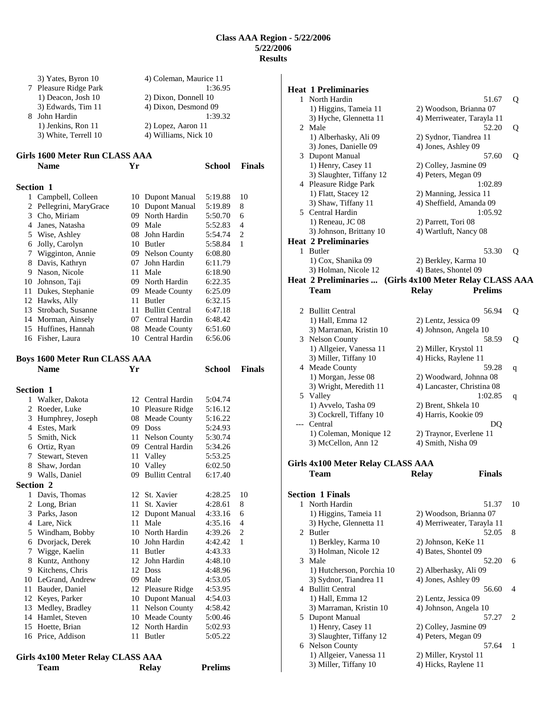|                  | 3) Yates, Byron 10<br>7 Pleasure Ridge Park<br>1) Deacon, Josh 10<br>3) Edwards, Tim 11 |    | 4) Coleman, Maurice 11<br>2) Dixon, Donnell 10<br>4) Dixon, Desmond 09 | 1:36.95            |               |
|------------------|-----------------------------------------------------------------------------------------|----|------------------------------------------------------------------------|--------------------|---------------|
|                  | 8 John Hardin<br>1) Jenkins, Ron 11<br>3) White, Terrell 10                             |    | 2) Lopez, Aaron 11<br>4) Williams, Nick 10                             | 1:39.32            |               |
|                  | Girls 1600 Meter Run CLASS AAA<br><b>Name</b>                                           | Yr |                                                                        | <b>School</b>      | <b>Finals</b> |
|                  |                                                                                         |    |                                                                        |                    |               |
| <b>Section 1</b> |                                                                                         |    |                                                                        |                    |               |
|                  | 1 Campbell, Colleen                                                                     |    | 10 Dupont Manual                                                       | 5:19.88            | 10            |
| 2                | Pellegrini, MaryGrace                                                                   |    | 10 Dupont Manual<br>09 North Hardin                                    | 5:19.89            | 8             |
| 3                | Cho, Miriam<br>4 Janes, Natasha                                                         |    | 09 Male                                                                | 5:50.70<br>5:52.83 | 6<br>4        |
|                  | 5 Wise, Ashley                                                                          |    | 08 John Hardin                                                         | 5:54.74            | 2             |
|                  | 6 Jolly, Carolyn                                                                        |    | 10 Butler                                                              | 5:58.84            | 1             |
| 7                | Wigginton, Annie                                                                        |    | 09 Nelson County                                                       | 6:08.80            |               |
|                  | 8 Davis, Kathryn                                                                        |    | 07 John Hardin                                                         | 6:11.79            |               |
|                  | 9 Nason, Nicole                                                                         |    | 11 Male                                                                | 6:18.90            |               |
|                  | 10 Johnson, Taji                                                                        |    | 09 North Hardin                                                        | 6:22.35            |               |
|                  | 11 Dukes, Stephanie                                                                     |    | 09 Meade County                                                        | 6:25.09            |               |
|                  | 12 Hawks, Ally                                                                          | 11 | Butler                                                                 | 6:32.15            |               |
|                  | 13 Strobach, Susanne                                                                    |    | 11 Bullitt Central                                                     | 6:47.18            |               |
|                  | 14 Morman, Ainsely                                                                      |    | 07 Central Hardin                                                      | 6:48.42            |               |
|                  | 15 Huffines, Hannah                                                                     |    | 08 Meade County                                                        | 6:51.60            |               |
|                  | 16 Fisher, Laura                                                                        |    | 10 Central Hardin                                                      | 6:56.06            |               |
|                  |                                                                                         |    |                                                                        |                    |               |
|                  | Boys 1600 Meter Run CLASS AAA                                                           |    |                                                                        |                    |               |
|                  | <b>Name</b>                                                                             | Yr |                                                                        | <b>School</b>      | <b>Finals</b> |
|                  |                                                                                         |    |                                                                        |                    |               |
|                  |                                                                                         |    |                                                                        |                    |               |
| <b>Section 1</b> |                                                                                         |    |                                                                        |                    |               |
| 1<br>2           | Walker, Dakota                                                                          |    | 12 Central Hardin                                                      | 5:04.74<br>5:16.12 |               |
| 3                | Roeder, Luke                                                                            |    | 10 Pleasure Ridge                                                      | 5:16.22            |               |
|                  | Humphrey, Joseph<br>4 Estes, Mark                                                       |    | 08 Meade County<br>09 Doss                                             | 5:24.93            |               |
| 5                | Smith, Nick                                                                             |    | 11 Nelson County                                                       | 5:30.74            |               |
|                  | 6 Ortiz, Ryan                                                                           |    | 09 Central Hardin                                                      | 5:34.26            |               |
| 7                | Stewart, Steven                                                                         | 11 | Valley                                                                 | 5:53.25            |               |
| 8                | Shaw, Jordan                                                                            | 10 | Valley                                                                 | 6:02.50            |               |
|                  | 9 Walls, Daniel                                                                         |    | 09 Bullitt Central                                                     | 6:17.40            |               |
| <b>Section 2</b> |                                                                                         |    |                                                                        |                    |               |
| 1                | Davis, Thomas                                                                           | 12 | St. Xavier                                                             | 4:28.25            | 10            |
| 2                | Long, Brian                                                                             | 11 | St. Xavier                                                             | 4:28.61            | 8             |
| 3                | Parks, Jason                                                                            | 12 | Dupont Manual                                                          | 4:33.16            | 6             |
|                  | 4 Lare, Nick                                                                            | 11 | Male                                                                   | 4:35.16            | 4             |
|                  | 5 Windham, Bobby                                                                        |    | 10 North Hardin                                                        | 4:39.26            | 2             |
| 6                | Dvorjack, Derek                                                                         | 10 | John Hardin                                                            | 4:42.42            | 1             |
| 7                | Wigge, Kaelin                                                                           | 11 | Butler                                                                 | 4:43.33            |               |
| 8                | Kuntz, Anthony                                                                          | 12 | John Hardin                                                            | 4:48.10            |               |
| 9.<br>10         | Kitchens, Chris                                                                         | 09 | 12 Doss<br>Male                                                        | 4:48.96            |               |
| 11               | LeGrand, Andrew                                                                         | 12 |                                                                        | 4:53.05            |               |
| 12               | Bauder, Daniel<br>Keyes, Parker                                                         | 10 | Pleasure Ridge<br>Dupont Manual                                        | 4:53.95<br>4:54.03 |               |
| 13               | Medley, Bradley                                                                         | 11 | Nelson County                                                          | 4:58.42            |               |
| 14               | Hamlet, Steven                                                                          | 10 | Meade County                                                           | 5:00.46            |               |
| 15               | Hoette, Brian                                                                           | 12 | North Hardin                                                           | 5:02.93            |               |
|                  | 16 Price, Addison                                                                       | 11 | Butler                                                                 | 5:05.22            |               |

| Girls 4x100 Meter Relay CLASS AAA |       |                |
|-----------------------------------|-------|----------------|
| <b>Team</b>                       | Relay | <b>Prelims</b> |

|   | <b>Heat 1 Preliminaries</b>                  |                                                          |    |
|---|----------------------------------------------|----------------------------------------------------------|----|
|   | 1 North Hardin                               | 51.67                                                    | Q  |
|   | 1) Higgins, Tameia 11                        | 2) Woodson, Brianna 07                                   |    |
|   | 3) Hyche, Glennetta 11                       | 4) Merriweater, Tarayla 11                               |    |
|   | 2 Male                                       | 52.20                                                    | Q  |
|   | 1) Alberhasky, Ali 09                        | 2) Sydnor, Tiandrea 11                                   |    |
|   | 3) Jones, Danielle 09                        | 4) Jones, Ashley 09                                      |    |
|   | 3 Dupont Manual<br>1) Henry, Casey 11        | 57.60                                                    | Q  |
|   | 3) Slaughter, Tiffany 12                     | 2) Colley, Jasmine 09<br>4) Peters, Megan 09             |    |
|   | 4 Pleasure Ridge Park                        | 1:02.89                                                  |    |
|   | 1) Flatt, Stacey 12                          | 2) Manning, Jessica 11                                   |    |
|   | 3) Shaw, Tiffany 11                          | 4) Sheffield, Amanda 09                                  |    |
|   | 5 Central Hardin                             | 1:05.92                                                  |    |
|   | 1) Reneau, JC 08                             | 2) Parrett, Tori 08                                      |    |
|   | 3) Johnson, Brittany 10                      | 4) Wartluft, Nancy 08                                    |    |
|   | <b>Heat 2 Preliminaries</b>                  |                                                          |    |
|   | 1 Butler                                     | 53.30                                                    | Q  |
|   | 1) Cox, Shanika 09                           | 2) Berkley, Karma 10                                     |    |
|   | 3) Holman, Nicole 12                         | 4) Bates, Shontel 09                                     |    |
|   |                                              | Heat 2 Preliminaries  (Girls 4x100 Meter Relay CLASS AAA |    |
|   | Team                                         | <b>Prelims</b><br><b>Relay</b>                           |    |
|   | 2 Bullitt Central                            | 56.94                                                    | Q  |
|   | 1) Hall, Emma 12                             | 2) Lentz, Jessica 09                                     |    |
|   | 3) Marraman, Kristin 10                      | 4) Johnson, Angela 10                                    |    |
|   | 3 Nelson County                              | 58.59                                                    | Q  |
|   | 1) Allgeier, Vanessa 11                      | 2) Miller, Krystol 11                                    |    |
|   | 3) Miller, Tiffany 10                        | 4) Hicks, Raylene 11                                     |    |
|   | 4 Meade County                               | 59.28                                                    | q  |
|   | 1) Morgan, Jesse 08                          | 2) Woodward, Johnna 08                                   |    |
|   | 3) Wright, Meredith 11                       | 4) Lancaster, Christina 08                               |    |
|   | 5 Valley                                     | 1:02.85                                                  | q  |
|   | 1) Avvelo, Tasha 09                          | 2) Brent, Shkela 10                                      |    |
|   | 3) Cockrell, Tiffany 10                      | 4) Harris, Kookie 09                                     |    |
|   | --- Central<br>1) Coleman, Monique 12        | DQ<br>2) Traynor, Everlene 11                            |    |
|   | 3) McCellon, Ann 12                          | 4) Smith, Nisha 09                                       |    |
|   |                                              |                                                          |    |
|   | Girls 4x100 Meter Relay CLASS AAA            |                                                          |    |
|   | Team                                         | <b>Relay</b><br><b>Finals</b>                            |    |
|   |                                              |                                                          |    |
|   | <b>Section 1 Finals</b>                      |                                                          |    |
|   | 1 North Hardin                               | 51.37                                                    | 10 |
|   | 1) Higgins, Tameia 11                        | 2) Woodson, Brianna 07                                   |    |
|   | 3) Hyche, Glennetta 11                       | 4) Merriweater, Tarayla 11                               |    |
|   | 2 Butler                                     | 52.05                                                    | 8  |
|   | 1) Berkley, Karma 10<br>3) Holman, Nicole 12 | 2) Johnson, KeKe 11<br>4) Bates, Shontel 09              |    |
|   | 3 Male                                       | 52.20                                                    | 6  |
|   | 1) Hutcherson, Porchia 10                    | 2) Alberhasky, Ali 09                                    |    |
|   | 3) Sydnor, Tiandrea 11                       | 4) Jones, Ashley 09                                      |    |
|   | 4 Bullitt Central                            | 56.60                                                    | 4  |
|   | 1) Hall, Emma 12                             | 2) Lentz, Jessica 09                                     |    |
|   | 3) Marraman, Kristin 10                      | 4) Johnson, Angela 10                                    |    |
|   | 5 Dupont Manual                              | 57.27                                                    | 2  |
|   | 1) Henry, Casey 11                           | 2) Colley, Jasmine 09                                    |    |
|   | 3) Slaughter, Tiffany 12                     | 4) Peters, Megan 09                                      |    |
| 6 | Nelson County                                | 57.64                                                    | 1  |
|   | 1) Allgeier, Vanessa 11                      | 2) Miller, Krystol 11                                    |    |
|   | 3) Miller, Tiffany 10                        | 4) Hicks, Raylene 11                                     |    |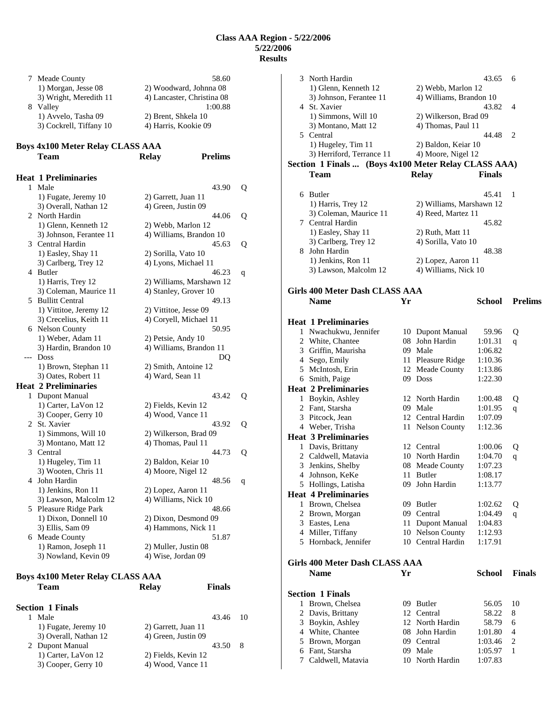|    | 7 Meade County                          | 58.60                          |   |
|----|-----------------------------------------|--------------------------------|---|
|    | 1) Morgan, Jesse 08                     | 2) Woodward, Johnna 08         |   |
|    | 3) Wright, Meredith 11                  | 4) Lancaster, Christina 08     |   |
|    | 8 Valley                                | 1:00.88                        |   |
|    | 1) Avvelo, Tasha 09                     | 2) Brent, Shkela 10            |   |
|    | 3) Cockrell, Tiffany 10                 | 4) Harris, Kookie 09           |   |
|    |                                         |                                |   |
|    | <b>Boys 4x100 Meter Relay CLASS AAA</b> |                                |   |
|    | Team                                    | <b>Prelims</b><br><b>Relay</b> |   |
|    |                                         |                                |   |
|    | <b>Heat 1 Preliminaries</b>             |                                |   |
| 1  | Male                                    | 43.90                          | Q |
|    | 1) Fugate, Jeremy 10                    | 2) Garrett, Juan 11            |   |
|    | 3) Overall, Nathan 12                   | 4) Green, Justin 09            |   |
| 2  | North Hardin                            | 44.06                          | Q |
|    | 1) Glenn, Kenneth 12                    | 2) Webb, Marlon 12             |   |
|    | 3) Johnson, Ferantee 11                 | 4) Williams, Brandon 10        |   |
|    | 3 Central Hardin                        | 45.63                          | Q |
|    | 1) Easley, Shay 11                      | 2) Sorilla, Vato 10            |   |
|    | 3) Carlberg, Trey 12                    | 4) Lyons, Michael 11           |   |
|    | 4 Butler                                | 46.23                          | q |
|    | 1) Harris, Trey 12                      | 2) Williams, Marshawn 12       |   |
|    | 3) Coleman, Maurice 11                  | 4) Stanley, Grover 10          |   |
| 5. | <b>Bullitt Central</b>                  | 49.13                          |   |
|    | 1) Vittitoe, Jeremy 12                  | 2) Vittitoe, Jesse 09          |   |
|    | 3) Crecelius, Keith 11                  | 4) Coryell, Michael 11         |   |
| 6  | <b>Nelson County</b>                    | 50.95                          |   |
|    | 1) Weber, Adam 11                       | 2) Petsie, Andy 10             |   |
|    | 3) Hardin, Brandon 10                   | 4) Williams, Brandon 11        |   |
|    | --- Doss                                | DQ                             |   |
|    | 1) Brown, Stephan 11                    | 2) Smith, Antoine 12           |   |
|    | 3) Oates, Robert 11                     | 4) Ward, Sean 11               |   |
|    | <b>Heat 2 Preliminaries</b>             |                                |   |
| 1  | <b>Dupont Manual</b>                    | 43.42                          | Q |
|    | 1) Carter, LaVon 12                     | 2) Fields, Kevin 12            |   |
|    | 3) Cooper, Gerry 10                     | 4) Wood, Vance 11              |   |
| 2  | St. Xavier                              | 43.92                          | Q |
|    | 1) Simmons, Will 10                     | 2) Wilkerson, Brad 09          |   |
|    | 3) Montano, Matt 12                     | 4) Thomas, Paul 11             |   |
| 3  | Central                                 | 44.73                          | Q |
|    | 1) Hugeley, Tim 11                      | 2) Baldon, Keiar 10            |   |
|    | 3) Wooten, Chris 11                     | 4) Moore, Nigel 12             |   |
| 4  | John Hardin                             | 48.56                          | q |
|    | 1) Jenkins, Ron 11                      | 2) Lopez, Aaron 11             |   |
|    | 3) Lawson, Malcolm 12                   | 4) Williams, Nick 10           |   |
| 5  | Pleasure Ridge Park                     | 48.66                          |   |
|    | 1) Dixon, Donnell 10                    | 2) Dixon, Desmond 09           |   |
|    | 3) Ellis, Sam 09                        | 4) Hammons, Nick 11            |   |
| 6  | Meade County                            | 51.87                          |   |
|    | 1) Ramon, Joseph 11                     | 2) Muller, Justin 08           |   |
|    | 3) Nowland, Kevin 09                    | 4) Wise, Jordan 09             |   |
|    |                                         |                                |   |

| <b>Boys 4x100 Meter Relay CLASS AAA</b><br><b>Team</b> | Relay | <b>Finals</b> |  |
|--------------------------------------------------------|-------|---------------|--|
| <b>Section 1 Finals</b><br>1.11                        |       | $\sqrt{10}$   |  |

| Male                  |                     | 43.46 10 |    |
|-----------------------|---------------------|----------|----|
| 1) Fugate, Jeremy 10  | 2) Garrett, Juan 11 |          |    |
| 3) Overall, Nathan 12 | 4) Green, Justin 09 |          |    |
| 2 Dupont Manual       |                     | 43.50    | -8 |
| 1) Carter, LaVon 12   | 2) Fields, Kevin 12 |          |    |
| 3) Cooper, Gerry 10   | 4) Wood, Vance 11   |          |    |

|   | 3 North Hardin                                       |     |                              | 43.65              | 6              |
|---|------------------------------------------------------|-----|------------------------------|--------------------|----------------|
|   | 1) Glenn, Kenneth 12                                 |     | 2) Webb, Marlon 12           |                    |                |
|   | 3) Johnson, Ferantee 11                              |     | 4) Williams, Brandon 10      |                    |                |
|   | 4 St. Xavier                                         |     |                              | 43.82              | 4              |
|   | 1) Simmons, Will 10                                  |     | 2) Wilkerson, Brad 09        |                    |                |
|   | 3) Montano, Matt 12                                  |     | 4) Thomas, Paul 11           |                    |                |
|   | 5 Central                                            |     |                              | 44.48              | 2              |
|   | 1) Hugeley, Tim 11                                   |     | 2) Baldon, Keiar 10          |                    |                |
|   | 3) Herriford, Terrance 11                            |     | 4) Moore, Nigel 12           |                    |                |
|   | Section 1 Finals  (Boys 4x100 Meter Relay CLASS AAA) |     |                              |                    |                |
|   | <b>Team</b>                                          |     | <b>Relay</b>                 | <b>Finals</b>      |                |
|   |                                                      |     |                              |                    |                |
|   | 6 Butler                                             |     |                              | 45.41              | 1              |
|   | 1) Harris, Trey 12                                   |     | 2) Williams, Marshawn 12     |                    |                |
|   | 3) Coleman, Maurice 11                               |     | 4) Reed, Martez 11           |                    |                |
|   | 7 Central Hardin                                     |     |                              | 45.82              |                |
|   | 1) Easley, Shay 11                                   |     | 2) Ruth, Matt 11             |                    |                |
|   | 3) Carlberg, Trey 12<br>8 John Hardin                |     | 4) Sorilla, Vato 10          | 48.38              |                |
|   | 1) Jenkins, Ron 11                                   |     | 2) Lopez, Aaron 11           |                    |                |
|   | 3) Lawson, Malcolm 12                                |     | 4) Williams, Nick 10         |                    |                |
|   |                                                      |     |                              |                    |                |
|   | Girls 400 Meter Dash CLASS AAA                       |     |                              |                    |                |
|   | <b>Name</b>                                          | Yr  |                              | School             | <b>Prelims</b> |
|   |                                                      |     |                              |                    |                |
|   | <b>Heat 1 Preliminaries</b>                          |     |                              |                    |                |
|   | 1 Nwachukwu, Jennifer                                |     | 10 Dupont Manual             | 59.96              | Q              |
|   | 2 White, Chantee                                     |     | 08 John Hardin               | 1:01.31            | q              |
|   | 3 Griffin, Maurisha                                  |     | 09 Male                      | 1:06.82            |                |
|   | 4 Sego, Emily                                        |     | 11 Pleasure Ridge            | 1:10.36            |                |
|   | 5 McIntosh, Erin                                     |     | 12 Meade County              | 1:13.86            |                |
|   | 6 Smith, Paige                                       |     | 09 Doss                      | 1:22.30            |                |
|   | <b>Heat 2 Preliminaries</b>                          |     |                              |                    |                |
|   | 1 Boykin, Ashley                                     |     | 12 North Hardin              | 1:00.48            | Q              |
|   | 2 Fant, Starsha                                      |     | 09 Male                      | 1:01.95            | q              |
|   | 3 Pitcock, Jean                                      |     | 12 Central Hardin            | 1:07.09            |                |
|   | 4 Weber, Trisha                                      |     | 11 Nelson County             | 1:12.36            |                |
|   | <b>Heat 3 Preliminaries</b>                          |     | 12 Central                   |                    |                |
| 1 | Davis, Brittany<br>2 Caldwell, Matavia               |     | 10 North Hardin              | 1:00.06<br>1:04.70 | Q              |
| 3 | Jenkins, Shelby                                      |     | 08 Meade County              | 1:07.23            | q              |
| 4 | Johnson, KeKe                                        |     | 11 Butler                    | 1:08.17            |                |
| 5 | Hollings, Latisha                                    | 09. | John Hardin                  | 1:13.77            |                |
|   | <b>Heat 4 Preliminaries</b>                          |     |                              |                    |                |
|   | 1 Brown, Chelsea                                     |     | 09 Butler                    | 1:02.62            | Q              |
| 2 | Brown, Morgan                                        |     | 09 Central                   | 1:04.49            | q              |
| 3 | Eastes, Lena                                         |     | 11 Dupont Manual             | 1:04.83            |                |
|   | 4 Miller, Tiffany                                    |     | 10 Nelson County             | 1:12.93            |                |
|   | 5 Hornback, Jennifer                                 |     | 10 Central Hardin            | 1:17.91            |                |
|   |                                                      |     |                              |                    |                |
|   | Girls 400 Meter Dash CLASS AAA                       |     |                              |                    |                |
|   | <b>Name</b>                                          | Yr  |                              | <b>School</b>      | <b>Finals</b>  |
|   |                                                      |     |                              |                    |                |
| 1 | <b>Section 1 Finals</b><br>Brown, Chelsea            |     | 09 Butler                    | 56.05              | 10             |
| 2 |                                                      |     |                              |                    |                |
|   |                                                      |     |                              |                    |                |
| 3 | Davis, Brittany                                      |     | 12 Central                   | 58.22              | 8              |
|   | Boykin, Ashley                                       |     | 12 North Hardin              | 58.79              | 6<br>4         |
| 5 | 4 White, Chantee                                     |     | 08 John Hardin<br>09 Central | 1:01.80<br>1:03.46 | 2              |
| 6 | Brown, Morgan<br>Fant, Starsha                       |     | 09 Male                      | 1:05.97            | 1              |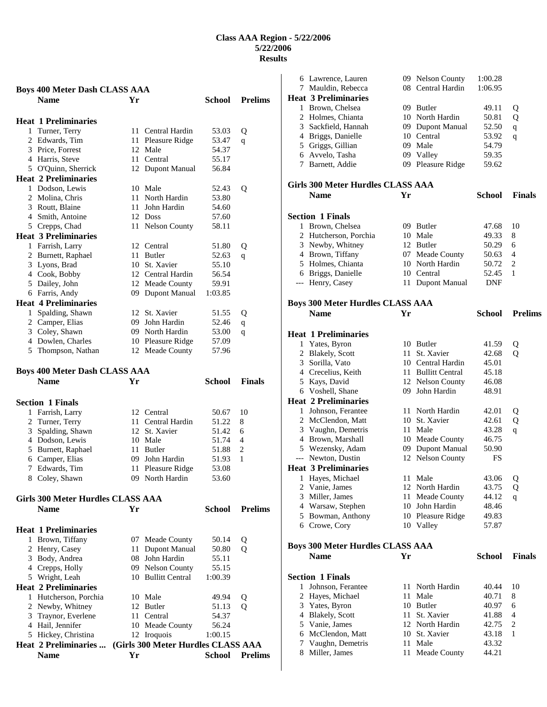|              | <b>Boys 400 Meter Dash CLASS AAA</b>          |      |                                        |                |                |
|--------------|-----------------------------------------------|------|----------------------------------------|----------------|----------------|
|              | <b>Name</b>                                   | Yr   |                                        | <b>School</b>  | <b>Prelims</b> |
|              | <b>Heat 1 Preliminaries</b>                   |      |                                        |                |                |
|              | 1 Turner, Terry                               | 11   | Central Hardin                         | 53.03          | Q              |
|              | 2 Edwards, Tim                                | 11   | Pleasure Ridge                         | 53.47          | q              |
|              | 3 Price, Forrest                              |      | 12 Male                                | 54.37          |                |
|              | 4 Harris, Steve                               | 11 - | Central                                | 55.17          |                |
|              | 5 O'Quinn, Sherrick                           |      | 12 Dupont Manual                       | 56.84          |                |
|              | <b>Heat 2 Preliminaries</b>                   |      |                                        |                |                |
|              | 1 Dodson, Lewis                               |      | 10 Male                                | 52.43          | Q              |
|              | 2 Molina, Chris                               |      | 11 North Hardin                        | 53.80          |                |
|              | 3 Routt, Blaine                               | 11   | John Hardin                            | 54.60          |                |
|              | 4 Smith, Antoine                              |      | 12 Doss                                | 57.60          |                |
|              | 5 Crepps, Chad                                | 11-  | <b>Nelson County</b>                   | 58.11          |                |
|              | <b>Heat 3 Preliminaries</b>                   |      |                                        |                |                |
|              | 1 Farrish, Larry                              |      | 12 Central                             | 51.80          | Q              |
|              | 2 Burnett, Raphael                            | 11   | Butler                                 | 52.63          | q              |
|              | 3 Lyons, Brad                                 | 10   | St. Xavier                             | 55.10          |                |
|              | 4 Cook, Bobby                                 |      | 12 Central Hardin                      | 56.54          |                |
|              | 5 Dailey, John                                |      | 12 Meade County                        | 59.91          |                |
|              | 6 Farris, Andy                                |      | 09 Dupont Manual                       | 1:03.85        |                |
|              | <b>Heat 4 Preliminaries</b>                   |      |                                        |                |                |
| $\mathbf{1}$ | Spalding, Shawn                               | 12   | St. Xavier                             | 51.55          | Q              |
|              | 2 Camper, Elias                               |      | 09 John Hardin                         | 52.46          | q              |
|              | 3 Coley, Shawn                                |      | 09 North Hardin                        | 53.00          | q              |
|              | 4 Dowlen, Charles                             |      | 10 Pleasure Ridge                      | 57.09          |                |
|              | 5 Thompson, Nathan                            |      | 12 Meade County                        | 57.96          |                |
|              |                                               |      |                                        |                |                |
|              | <b>Boys 400 Meter Dash CLASS AAA</b>          |      |                                        |                |                |
|              | <b>Name</b>                                   | Yr   |                                        | <b>School</b>  | <b>Finals</b>  |
|              |                                               |      |                                        |                |                |
|              |                                               |      |                                        |                |                |
|              | <b>Section 1 Finals</b>                       |      |                                        |                |                |
| 1            | Farrish, Larry                                |      | 12 Central                             | 50.67          | 10             |
| 2            | Turner, Terry                                 | 11 - | Central Hardin                         | 51.22          | 8              |
| 3            | Spalding, Shawn                               |      | 12 St. Xavier                          | 51.42          | 6              |
|              | 4 Dodson, Lewis                               |      | 10 Male                                | 51.74          | 4              |
|              | 5 Burnett, Raphael                            |      | 11 Butler                              | 51.88          | 2              |
|              | 6 Camper, Elias                               |      | 09 John Hardin                         | 51.93          | 1              |
| 8            | 7 Edwards, Tim<br>Coley, Shawn                | 11   | Pleasure Ridge<br>09 North Hardin      | 53.08<br>53.60 |                |
|              |                                               |      |                                        |                |                |
|              | <b>Girls 300 Meter Hurdles CLASS AAA</b>      |      |                                        |                |                |
|              | Name                                          | Yr   |                                        | <b>School</b>  | <b>Prelims</b> |
|              | <b>Heat 1 Preliminaries</b>                   |      |                                        |                |                |
|              |                                               |      |                                        |                |                |
|              | 1 Brown, Tiffany                              | 11   | 07 Meade County                        | 50.14          | Q              |
|              | 2 Henry, Casey                                | 08   | <b>Dupont Manual</b><br>John Hardin    | 50.80<br>55.11 | Q              |
|              | 3 Body, Andrea                                |      |                                        | 55.15          |                |
|              | 4 Crepps, Holly                               |      | 09 Nelson County<br>10 Bullitt Central | 1:00.39        |                |
|              | 5 Wright, Leah<br><b>Heat 2 Preliminaries</b> |      |                                        |                |                |
|              | 1 Hutcherson, Porchia                         |      | 10 Male                                |                |                |
|              |                                               |      | 12 Butler                              | 49.94<br>51.13 | Q<br>Q         |
|              | 2 Newby, Whitney<br>3 Traynor, Everlene       |      | 11 Central                             | 54.37          |                |
|              | 4 Hail, Jennifer                              |      | 10 Meade County                        | 56.24          |                |
|              | 5 Hickey, Christina                           |      | 12 Iroquois                            | 1:00.15        |                |
|              | <b>Heat 2 Preliminaries </b>                  |      | (Girls 300 Meter Hurdles CLASS AAA     |                |                |

|   | 6 Lawrence, Lauren                       |    | 09 Nelson County   | 1:00.28       |                   |
|---|------------------------------------------|----|--------------------|---------------|-------------------|
|   | 7 Mauldin, Rebecca                       |    | 08 Central Hardin  | 1:06.95       |                   |
|   | <b>Heat 3 Preliminaries</b>              |    |                    |               |                   |
|   | 1 Brown, Chelsea                         |    | 09 Butler          | 49.11         | Q                 |
|   | 2 Holmes, Chianta                        |    | 10 North Hardin    | 50.81         | Q                 |
|   | 3 Sackfield, Hannah                      |    | 09 Dupont Manual   | 52.50         | $\mathbf q$       |
|   | 4 Briggs, Danielle                       |    | 10 Central         | 53.92         |                   |
|   |                                          |    | 09 Male            | 54.79         | q                 |
|   | 5 Griggs, Gillian                        |    |                    |               |                   |
|   | 6 Avvelo, Tasha                          |    | 09 Valley          | 59.35         |                   |
|   | 7 Barnett, Addie                         |    | 09 Pleasure Ridge  | 59.62         |                   |
|   |                                          |    |                    |               |                   |
|   | <b>Girls 300 Meter Hurdles CLASS AAA</b> |    |                    |               |                   |
|   | <b>Name</b>                              | Yr |                    | <b>School</b> | <b>Finals</b>     |
|   |                                          |    |                    |               |                   |
|   | <b>Section 1 Finals</b>                  |    |                    |               |                   |
|   | 1 Brown, Chelsea                         |    | 09 Butler          | 47.68         | 10                |
|   | 2 Hutcherson, Porchia                    |    | 10 Male            | 49.33         | 8                 |
|   | 3 Newby, Whitney                         |    | 12 Butler          | 50.29         | 6                 |
|   | 4 Brown, Tiffany                         |    | 07 Meade County    | 50.63         | 4                 |
|   | 5 Holmes, Chianta                        |    | 10 North Hardin    |               |                   |
|   |                                          |    | 10 Central         | 50.72         | 2<br>$\mathbf{1}$ |
|   | 6 Briggs, Danielle                       |    |                    | 52.45         |                   |
|   | --- Henry, Casey                         |    | 11 Dupont Manual   | <b>DNF</b>    |                   |
|   |                                          |    |                    |               |                   |
|   | <b>Boys 300 Meter Hurdles CLASS AAA</b>  |    |                    |               |                   |
|   | <b>Name</b>                              | Yr |                    | <b>School</b> | <b>Prelims</b>    |
|   |                                          |    |                    |               |                   |
|   | <b>Heat 1 Preliminaries</b>              |    |                    |               |                   |
|   | 1 Yates, Byron                           |    | 10 Butler          | 41.59         | Q                 |
|   | 2 Blakely, Scott                         |    | 11 St. Xavier      | 42.68         | Q                 |
|   | 3 Sorilla, Vato                          |    | 10 Central Hardin  | 45.01         |                   |
|   |                                          |    | 11 Bullitt Central |               |                   |
|   | 4 Crecelius, Keith                       |    |                    | 45.18         |                   |
|   | 5 Kays, David                            |    | 12 Nelson County   | 46.08         |                   |
|   | 6 Voshell, Shane                         |    | 09 John Hardin     | 48.91         |                   |
|   | <b>Heat 2 Preliminaries</b>              |    |                    |               |                   |
|   | 1 Johnson, Ferantee                      |    | 11 North Hardin    | 42.01         | Q                 |
|   | 2 McClendon, Matt                        |    | 10 St. Xavier      | 42.61         | Q                 |
|   | 3 Vaughn, Demetris                       |    | 11 Male            | 43.28         | q                 |
|   | 4 Brown, Marshall                        |    | 10 Meade County    | 46.75         |                   |
|   | 5 Wezensky, Adam                         |    | 09 Dupont Manual   | 50.90         |                   |
|   | --- Newton, Dustin                       |    | 12 Nelson County   | FS            |                   |
|   | <b>Heat 3 Preliminaries</b>              |    |                    |               |                   |
| 1 | Hayes, Michael                           |    | 11 Male            | 43.06         | ${\bf Q}$         |
|   | 2 Vanie, James                           |    | 12 North Hardin    | 43.75         | Q                 |
|   | 3 Miller, James                          |    | 11 Meade County    | 44.12         | q                 |
|   | 4 Warsaw, Stephen                        |    | 10 John Hardin     | 48.46         |                   |
|   | 5 Bowman, Anthony                        |    | 10 Pleasure Ridge  | 49.83         |                   |
|   | 6 Crowe, Cory                            |    | 10 Valley          | 57.87         |                   |
|   |                                          |    |                    |               |                   |
|   |                                          |    |                    |               |                   |
|   | <b>Boys 300 Meter Hurdles CLASS AAA</b>  |    |                    |               |                   |
|   | <b>Name</b>                              | Yr |                    | <b>School</b> | <b>Finals</b>     |
|   |                                          |    |                    |               |                   |
|   | <b>Section 1 Finals</b>                  |    |                    |               |                   |
| 1 | Johnson, Ferantee                        | 11 | North Hardin       | 40.44         | 10                |
| 2 | Hayes, Michael                           | 11 | Male               | 40.71         | 8                 |
|   | 3 Yates, Byron                           |    | 10 Butler          | 40.97         | 6                 |
|   | 4 Blakely, Scott                         |    | 11 St. Xavier      | 41.88         | 4                 |
|   | 5 Vanie, James                           |    | 12 North Hardin    | 42.75         | 2                 |
|   | 6 McClendon, Matt                        |    | 10 St. Xavier      | 43.18         | 1                 |
|   |                                          |    |                    |               |                   |
|   |                                          |    |                    |               |                   |
|   | 7 Vaughn, Demetris                       |    | 11 Male            | 43.32         |                   |
| 8 | Miller, James                            | 11 | Meade County       | 44.21         |                   |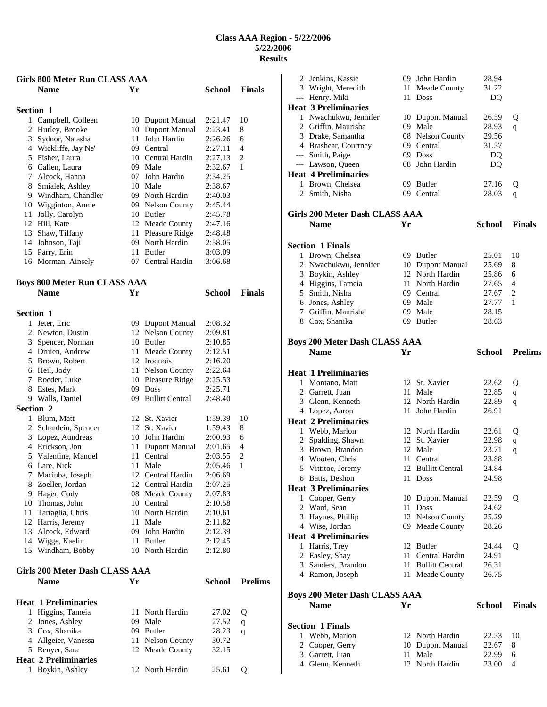| <b>Girls 800 Meter Run CLASS AAA</b> |                                       |     |                                      |               |                |
|--------------------------------------|---------------------------------------|-----|--------------------------------------|---------------|----------------|
|                                      | <b>Name</b>                           | Yr  |                                      | School        | <b>Finals</b>  |
|                                      |                                       |     |                                      |               |                |
| <b>Section 1</b>                     |                                       |     |                                      |               |                |
| 1                                    | Campbell, Colleen                     |     | 10 Dupont Manual                     | 2:21.47       | 10             |
|                                      | 2 Hurley, Brooke                      |     | 10 Dupont Manual                     | 2:23.41       | 8              |
|                                      | 3 Sydnor, Natasha                     | 11  | John Hardin                          | 2:26.26       | 6              |
|                                      | 4 Wickliffe, Jay Ne'                  |     | 09 Central                           | 2:27.11       | 4              |
|                                      | 5 Fisher, Laura                       |     | 10 Central Hardin                    | 2:27.13       | 2              |
|                                      | 6 Callen, Laura                       |     | 09 Male                              | 2:32.67       | 1              |
|                                      | 7 Alcock, Hanna                       |     | 07 John Hardin                       | 2:34.25       |                |
|                                      | 8 Smialek, Ashley                     |     | 10 Male                              | 2:38.67       |                |
|                                      | 9 Windham, Chandler                   |     | 09 North Hardin                      | 2:40.03       |                |
|                                      | 10 Wigginton, Annie                   |     | 09 Nelson County                     | 2:45.44       |                |
|                                      | 11 Jolly, Carolyn                     |     | 10 Butler                            | 2:45.78       |                |
|                                      | 12 Hill, Kate                         |     | 12 Meade County                      | 2:47.16       |                |
|                                      | 13 Shaw, Tiffany                      |     | 11 Pleasure Ridge                    | 2:48.48       |                |
|                                      | 14 Johnson, Taji                      |     | 09 North Hardin                      | 2:58.05       |                |
|                                      | 15 Parry, Erin                        |     | 11 Butler                            | 3:03.09       |                |
|                                      | 16 Morman, Ainsely                    |     | 07 Central Hardin                    | 3:06.68       |                |
|                                      |                                       |     |                                      |               |                |
|                                      | <b>Boys 800 Meter Run CLASS AAA</b>   |     |                                      |               |                |
|                                      | <b>Name</b>                           | Yr  |                                      | School        | <b>Finals</b>  |
|                                      |                                       |     |                                      |               |                |
| <b>Section 1</b>                     |                                       |     |                                      | 2:08.32       |                |
|                                      | 1 Jeter, Eric<br>2 Newton, Dustin     |     | 09 Dupont Manual<br>12 Nelson County | 2:09.81       |                |
|                                      |                                       |     | 10 Butler                            | 2:10.85       |                |
|                                      | 3 Spencer, Norman<br>4 Druien, Andrew | 11  |                                      | 2:12.51       |                |
|                                      | 5 Brown, Robert                       | 12  | Meade County<br>Iroquois             | 2:16.20       |                |
|                                      |                                       |     | Nelson County                        | 2:22.64       |                |
|                                      | 6 Heil, Jody<br>7 Roeder, Luke        | 11  | 10 Pleasure Ridge                    | 2:25.53       |                |
|                                      |                                       | 09. | <b>Doss</b>                          | 2:25.71       |                |
|                                      | 8 Estes, Mark                         | 09- | <b>Bullitt Central</b>               | 2:48.40       |                |
| <b>Section 2</b>                     | 9 Walls, Daniel                       |     |                                      |               |                |
|                                      | 1 Blum, Matt                          |     | 12 St. Xavier                        | 1:59.39       | 10             |
|                                      | 2 Schardein, Spencer                  |     | 12 St. Xavier                        | 1:59.43       | 8              |
|                                      | 3 Lopez, Aundreas                     |     | 10 John Hardin                       | 2:00.93       | 6              |
|                                      | 4 Erickson, Jon                       | 11  | Dupont Manual                        | 2:01.65       | 4              |
|                                      | 5 Valentine, Manuel                   |     | 11 Central                           | 2:03.55       | 2              |
|                                      | 6 Lare, Nick                          | 11  | Male                                 | 2:05.46       | 1              |
| 7                                    | Maciuba, Joseph                       |     | 12 Central Hardin                    | 2:06.69       |                |
|                                      | 8 Zoeller, Jordan                     |     | 12 Central Hardin                    | 2:07.25       |                |
|                                      | 9 Hager, Cody                         |     | 08 Meade County                      | 2:07.83       |                |
|                                      | 10 Thomas, John                       |     | 10 Central                           | 2:10.58       |                |
|                                      | 11 Tartaglia, Chris                   |     | 10 North Hardin                      | 2:10.61       |                |
|                                      | 12 Harris, Jeremy                     | 11  | Male                                 | 2:11.82       |                |
|                                      | 13 Alcock, Edward                     |     | 09 John Hardin                       | 2:12.39       |                |
|                                      | 14 Wigge, Kaelin                      |     | 11 Butler                            | 2:12.45       |                |
|                                      | 15 Windham, Bobby                     |     | 10 North Hardin                      | 2:12.80       |                |
|                                      |                                       |     |                                      |               |                |
|                                      | Girls 200 Meter Dash CLASS AAA        |     |                                      |               |                |
|                                      | Name                                  | Yr  |                                      | <b>School</b> | <b>Prelims</b> |
|                                      |                                       |     |                                      |               |                |
|                                      | <b>Heat 1 Preliminaries</b>           |     |                                      |               |                |
|                                      | 1 Higgins, Tameia                     | 11  | North Hardin                         | 27.02         | Q              |
|                                      | 2 Jones, Ashley                       |     | 09 Male                              | 27.52         | q              |
|                                      | 3 Cox, Shanika                        |     | 09 Butler                            | 28.23         | q              |
|                                      | 4 Allgeier, Vanessa                   | 11  | <b>Nelson County</b>                 | 30.72         |                |
|                                      | 5 Renyer, Sara                        |     | 12 Meade County                      | 32.15         |                |
|                                      | <b>Heat 2 Preliminaries</b>           |     |                                      |               |                |

Boykin, Ashley 12 North Hardin 25.61 Q

| 2 | Jenkins, Kassie                                  |      | 09 John Hardin     | 28.94         |                |
|---|--------------------------------------------------|------|--------------------|---------------|----------------|
|   | 3 Wright, Meredith                               |      | 11 Meade County    | 31.22         |                |
|   | --- Henry, Miki                                  |      | 11 Doss            | DQ            |                |
|   | <b>Heat 3 Preliminaries</b>                      |      |                    |               |                |
|   | 1 Nwachukwu, Jennifer                            |      | 10 Dupont Manual   | 26.59         | Q              |
|   | 2 Griffin, Maurisha                              |      | 09 Male            | 28.93         | q              |
|   | 3 Drake, Samantha                                |      | 08 Nelson County   | 29.56         |                |
|   | 4 Brashear, Courtney                             |      | 09 Central         | 31.57         |                |
|   |                                                  |      | 09 Doss            | DQ            |                |
|   | --- Smith, Paige                                 |      | 08 John Hardin     |               |                |
|   | --- Lawson, Queen<br><b>Heat 4 Preliminaries</b> |      |                    | DQ            |                |
|   |                                                  |      |                    |               |                |
|   | 1 Brown, Chelsea                                 |      | 09 Butler          | 27.16         | Q              |
|   | 2 Smith, Nisha                                   |      | 09 Central         | 28.03         | q              |
|   | Girls 200 Meter Dash CLASS AAA                   |      |                    |               |                |
|   | <b>Name</b>                                      | Yr   |                    | <b>School</b> | <b>Finals</b>  |
|   |                                                  |      |                    |               |                |
|   | <b>Section 1 Finals</b>                          |      |                    |               |                |
|   | 1 Brown, Chelsea                                 |      | 09 Butler          | 25.01         | 10             |
|   | 2 Nwachukwu, Jennifer                            |      | 10 Dupont Manual   | 25.69         | 8              |
|   | 3 Boykin, Ashley                                 |      | 12 North Hardin    | 25.86         | 6              |
|   | 4 Higgins, Tameia                                |      | 11 North Hardin    | 27.65         | 4              |
|   | 5 Smith, Nisha                                   |      | 09 Central         | 27.67         | 2              |
|   | 6 Jones, Ashley                                  |      | 09 Male            | 27.77         | 1              |
|   | 7 Griffin, Maurisha                              |      | 09 Male            | 28.15         |                |
|   | 8 Cox, Shanika                                   |      | 09 Butler          | 28.63         |                |
|   |                                                  |      |                    |               |                |
|   | <b>Boys 200 Meter Dash CLASS AAA</b>             |      |                    |               |                |
|   | <b>Name</b>                                      | Yr   |                    | <b>School</b> | <b>Prelims</b> |
|   | <b>Heat 1 Preliminaries</b>                      |      |                    |               |                |
|   |                                                  |      | 12 St. Xavier      |               |                |
|   | 1 Montano, Matt                                  |      |                    | 22.62         | Q              |
|   | 2 Garrett, Juan                                  |      | 11 Male            | 22.85         | q              |
|   | 3 Glenn, Kenneth                                 |      | 12 North Hardin    | 22.89         | q              |
|   | 4 Lopez, Aaron                                   |      | 11 John Hardin     | 26.91         |                |
|   | <b>Heat 2 Preliminaries</b>                      |      |                    |               |                |
|   | 1 Webb, Marlon                                   |      | 12 North Hardin    | 22.61         | Q              |
|   | 2 Spalding, Shawn                                |      | 12 St. Xavier      | 22.98         | q              |
|   | 3 Brown, Brandon                                 |      | 12 Male            | 23.71         | q              |
|   | 4 Wooten, Chris                                  |      | 11 Central         | 23.88         |                |
|   | 5 Vittitoe, Jeremy                               |      | 12 Bullitt Central | 24.84         |                |
|   | 6 Batts, Deshon                                  |      | 11 Doss            | 24.98         |                |
|   | <b>Heat 3 Preliminaries</b>                      |      |                    |               |                |
|   | 1 Cooper, Gerry                                  |      | 10 Dupont Manual   | 22.59         | Q              |
| 2 | Ward, Sean                                       |      | 11 Doss            | 24.62         |                |
| 3 | Haynes, Phillip                                  |      | 12 Nelson County   | 25.29         |                |
|   | 4 Wise, Jordan                                   |      | 09 Meade County    | 28.26         |                |
|   | <b>Heat 4 Preliminaries</b>                      |      |                    |               |                |
|   | 1 Harris, Trey                                   |      | 12 Butler          | 24.44         | Q              |
| 2 | Easley, Shay                                     |      | 11 Central Hardin  | 24.91         |                |
| 3 | Sanders, Brandon                                 |      | 11 Bullitt Central | 26.31         |                |
|   | 4 Ramon, Joseph                                  | 11 - | Meade County       | 26.75         |                |
|   |                                                  |      |                    |               |                |
|   | <b>Boys 200 Meter Dash CLASS AAA</b>             |      |                    |               |                |
|   | <b>Name</b>                                      | Yr   |                    | <b>School</b> | <b>Finals</b>  |
|   | <b>Section 1 Finals</b>                          |      |                    |               |                |
|   |                                                  |      |                    |               |                |
|   | 1 Webb, Marlon                                   |      | 12 North Hardin    | 22.53         | 10             |
| 2 | Cooper, Gerry                                    |      | 10 Dupont Manual   | 22.67         | 8              |
| 3 | Garrett, Juan                                    | 11   | Male               | 22.99         | 6              |
|   | 4 Glenn, Kenneth                                 |      | 12 North Hardin    | 23.00         | 4              |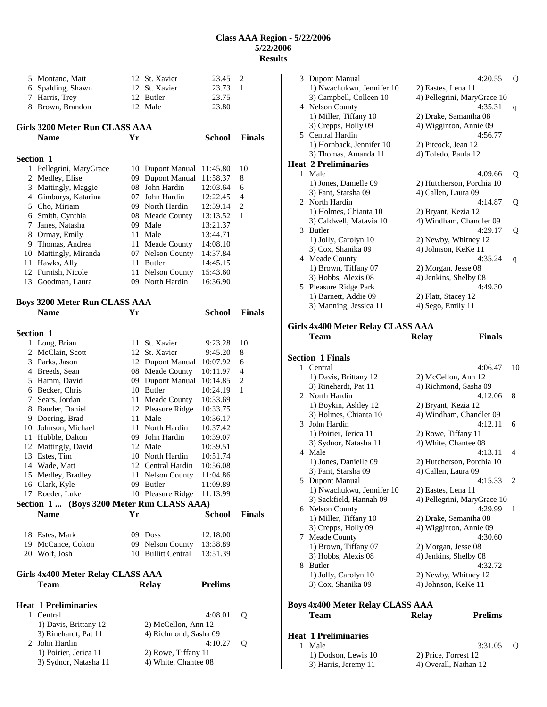|                  | 5 Montano, Matt                           |    | 12 St. Xavier         | 23.45          | 2             |
|------------------|-------------------------------------------|----|-----------------------|----------------|---------------|
|                  |                                           |    |                       |                |               |
| 6                | Spalding, Shawn                           |    | 12 St. Xavier         | 23.73          | 1             |
| 7                | Harris, Trey                              | 12 | Butler                | 23.75          |               |
|                  | 8 Brown, Brandon                          |    | 12 Male               | 23.80          |               |
|                  |                                           |    |                       |                |               |
|                  | Girls 3200 Meter Run CLASS AAA            |    |                       |                |               |
|                  | <b>Name</b>                               | Yr |                       | <b>School</b>  | <b>Finals</b> |
|                  |                                           |    |                       |                |               |
| <b>Section 1</b> |                                           |    |                       |                |               |
|                  | 1 Pellegrini, MaryGrace                   | 10 | Dupont Manual         | 11:45.80       | 10            |
| 2                | Medley, Elise                             | 09 | <b>Dupont Manual</b>  | 11:58.37       | 8             |
|                  | 3 Mattingly, Maggie                       |    | 08 John Hardin        | 12:03.64       | 6             |
|                  | 4 Gimborys, Katarina                      |    | 07 John Hardin        | 12:22.45       | 4             |
|                  | 5 Cho, Miriam                             |    | 09 North Hardin       | 12:59.14       | 2             |
|                  | 6 Smith, Cynthia                          |    | 08 Meade County       | 13:13.52       | 1             |
|                  | 7 Janes, Natasha                          |    | 09 Male               | 13:21.37       |               |
|                  | 8 Ormay, Emily                            |    | 11 Male               | 13:44.71       |               |
|                  | 9 Thomas, Andrea                          |    | 11 Meade County       | 14:08.10       |               |
|                  | 10 Mattingly, Miranda                     |    | 07 Nelson County      | 14:37.84       |               |
| 11               | Hawks, Ally                               | 11 | Butler                | 14:45.15       |               |
|                  | 12 Furnish, Nicole                        |    | 11 Nelson County      | 15:43.60       |               |
|                  | 13 Goodman, Laura                         |    | 09 North Hardin       | 16:36.90       |               |
|                  |                                           |    |                       |                |               |
|                  |                                           |    |                       |                |               |
|                  | <b>Boys 3200 Meter Run CLASS AAA</b>      |    |                       |                |               |
|                  | <b>Name</b>                               | Yr |                       | <b>School</b>  | <b>Finals</b> |
|                  |                                           |    |                       |                |               |
| <b>Section 1</b> |                                           |    |                       |                |               |
| 1                | Long, Brian                               | 11 | St. Xavier            | 9:23.28        | 10            |
|                  | 2 McClain, Scott                          |    | 12 St. Xavier         | 9:45.20        | 8             |
|                  | 3 Parks, Jason                            |    | 12 Dupont Manual      | 10:07.92       | 6             |
|                  | 4 Breeds, Sean                            |    | 08 Meade County       | 10:11.97       | 4             |
|                  | 5 Hamm, David                             |    | 09 Dupont Manual      | 10:14.85       | 2             |
|                  | 6 Becker, Chris                           |    | 10 Butler             | 10:24.19       | 1             |
| 7                | Sears, Jordan                             | 11 | Meade County          | 10:33.69       |               |
|                  | 8 Bauder, Daniel                          |    | 12 Pleasure Ridge     | 10:33.75       |               |
|                  | 9 Doering, Brad                           |    | 11 Male               | 10:36.17       |               |
|                  | 10 Johnson, Michael                       |    | 11 North Hardin       | 10:37.42       |               |
|                  | 11 Hubble, Dalton                         |    | 09 John Hardin        | 10:39.07       |               |
|                  | 12 Mattingly, David                       |    | 12 Male               | 10:39.51       |               |
| 13               | Estes, Tim                                | 10 | North Hardin          | 10:51.74       |               |
| 14               | Wade, Matt                                | 12 | Central Hardin        | 10:56.08       |               |
|                  | 15 Medley, Bradley                        |    | 11 Nelson County      | 11:04.86       |               |
|                  | 16 Clark, Kyle                            |    | 09 Butler             | 11:09.89       |               |
|                  | 17 Roeder, Luke                           |    | 10 Pleasure Ridge     | 11:13.99       |               |
|                  | Section 1 (Boys 3200 Meter Run CLASS AAA) |    |                       |                |               |
|                  | <b>Name</b>                               | Yr |                       | <b>School</b>  |               |
|                  |                                           |    |                       |                | <b>Finals</b> |
|                  |                                           |    |                       |                |               |
|                  | 18 Estes, Mark                            |    | 09 Doss               | 12:18.00       |               |
|                  | 19 McCance, Colton                        |    | 09 Nelson County      | 13:38.89       |               |
|                  | 20 Wolf, Josh                             |    | 10 Bullitt Central    | 13:51.39       |               |
|                  |                                           |    |                       |                |               |
|                  | Girls 4x400 Meter Relay CLASS AAA         |    |                       |                |               |
|                  | <b>Team</b>                               |    | <b>Relay</b>          | <b>Prelims</b> |               |
|                  |                                           |    |                       |                |               |
|                  | <b>Heat 1 Preliminaries</b>               |    |                       |                |               |
|                  | 1 Central                                 |    |                       | 4:08.01        | Q             |
|                  | 1) Davis, Brittany 12                     |    | 2) McCellon, Ann 12   |                |               |
|                  | 3) Rinehardt, Pat 11                      |    | 4) Richmond, Sasha 09 |                |               |
|                  | 2 John Hardin                             |    |                       | 4:10.27        | Q             |
|                  | 1) Poirier, Jerica 11                     |    | 2) Rowe, Tiffany 11   |                |               |
|                  | 3) Sydnor, Natasha 11                     |    | 4) White, Chantee 08  |                |               |
|                  |                                           |    |                       |                |               |

|   | <b>Heat 1 Preliminaries</b>                  |                                                  |    |
|---|----------------------------------------------|--------------------------------------------------|----|
|   |                                              |                                                  |    |
|   | Team                                         | <b>Prelims</b><br><b>Relay</b>                   |    |
|   | <b>Boys 4x400 Meter Relay CLASS AAA</b>      |                                                  |    |
|   | 3) Cox, Shanika 09                           | 4) Johnson, KeKe 11                              |    |
|   | 1) Jolly, Carolyn 10                         | 2) Newby, Whitney 12                             |    |
| 8 | <b>Butler</b>                                | 4:32.72                                          |    |
|   | 3) Hobbs, Alexis 08                          | 4) Jenkins, Shelby 08                            |    |
|   | 7 Meade County<br>1) Brown, Tiffany 07       | 4:30.60<br>2) Morgan, Jesse 08                   |    |
|   | 3) Crepps, Holly 09                          | 4) Wigginton, Annie 09                           |    |
|   | 1) Miller, Tiffany 10                        | 2) Drake, Samantha 08                            |    |
|   | 6 Nelson County                              | 4:29.99                                          | 1  |
|   | 3) Sackfield, Hannah 09                      | 4) Pellegrini, MaryGrace 10                      |    |
|   | 1) Nwachukwu, Jennifer 10                    | 2) Eastes, Lena 11                               |    |
|   | 5 Dupont Manual                              | 4:15.33                                          | 2  |
|   | 1) Jones, Danielle 09<br>3) Fant, Starsha 09 | 2) Hutcherson, Porchia 10<br>4) Callen, Laura 09 |    |
| 4 | Male                                         | 4:13.11                                          | 4  |
|   | 3) Sydnor, Natasha 11                        | 4) White, Chantee 08                             |    |
|   | 1) Poirier, Jerica 11                        | 2) Rowe, Tiffany 11                              |    |
| 3 | John Hardin                                  | 4:12.11                                          | 6  |
|   | 3) Holmes, Chianta 10                        | 4) Windham, Chandler 09                          |    |
|   | 1) Boykin, Ashley 12                         | 2) Bryant, Kezia 12                              |    |
| 2 | North Hardin                                 | 4:12.06                                          | 8  |
|   | 3) Rinehardt, Pat 11                         | 4) Richmond, Sasha 09                            |    |
|   | 1 Central<br>1) Davis, Brittany 12           | 4:06.47<br>2) McCellon, Ann 12                   | 10 |
|   | <b>Section 1 Finals</b>                      |                                                  |    |
|   |                                              |                                                  |    |
|   | Team                                         | <b>Finals</b><br>Relay                           |    |
|   | <b>Girls 4x400 Meter Relay CLASS AAA</b>     |                                                  |    |
|   |                                              |                                                  |    |
|   | 3) Manning, Jessica 11                       | 4) Sego, Emily 11                                |    |
| 5 | Pleasure Ridge Park<br>1) Barnett, Addie 09  | 4:49.30<br>2) Flatt, Stacey 12                   |    |
|   | 3) Hobbs, Alexis 08                          | 4) Jenkins, Shelby 08                            |    |
|   | 1) Brown, Tiffany 07                         | 2) Morgan, Jesse 08                              |    |
|   | 4 Meade County                               | 4:35.24                                          | q  |
|   | 3) Cox, Shanika 09                           | 4) Johnson, KeKe 11                              |    |
|   | 1) Jolly, Carolyn 10                         | 2) Newby, Whitney 12                             |    |
|   | 3 Butler                                     | 4:29.17                                          | Q  |
|   | 3) Caldwell, Matavia 10                      | 4) Windham, Chandler 09                          |    |
| 2 | North Hardin<br>1) Holmes, Chianta 10        | 4:14.87<br>2) Bryant, Kezia 12                   | Q  |
|   | 3) Fant, Starsha 09                          | 4) Callen, Laura 09                              |    |
|   | 1) Jones, Danielle 09                        | 2) Hutcherson, Porchia 10                        |    |
|   | 1 Male                                       | 4:09.66                                          | Q  |
|   | <b>Heat 2 Preliminaries</b>                  |                                                  |    |
|   | 3) Thomas, Amanda 11                         | 4) Toledo, Paula 12                              |    |
|   | 1) Hornback, Jennifer 10                     | 2) Pitcock, Jean 12                              |    |
|   | 5 Central Hardin                             | 4:56.77                                          |    |
|   | 1) Miller, Tiffany 10<br>3) Crepps, Holly 09 | 2) Drake, Samantha 08<br>4) Wigginton, Annie 09  |    |
|   | 4 Nelson County                              | 4:35.31                                          | q  |
|   | 3) Campbell, Colleen 10                      | 4) Pellegrini, MaryGrace 10                      |    |
|   | 1) Nwachukwu, Jennifer 10                    | 2) Eastes, Lena 11                               |    |
| 3 | Dupont Manual                                | 4:20.55                                          | Q  |

1) Dodson, Lewis 10 2) Price, Forrest 12<br>3) Harris, Jeremy 11 4) Overall, Nathan 1

4) Overall, Nathan 12